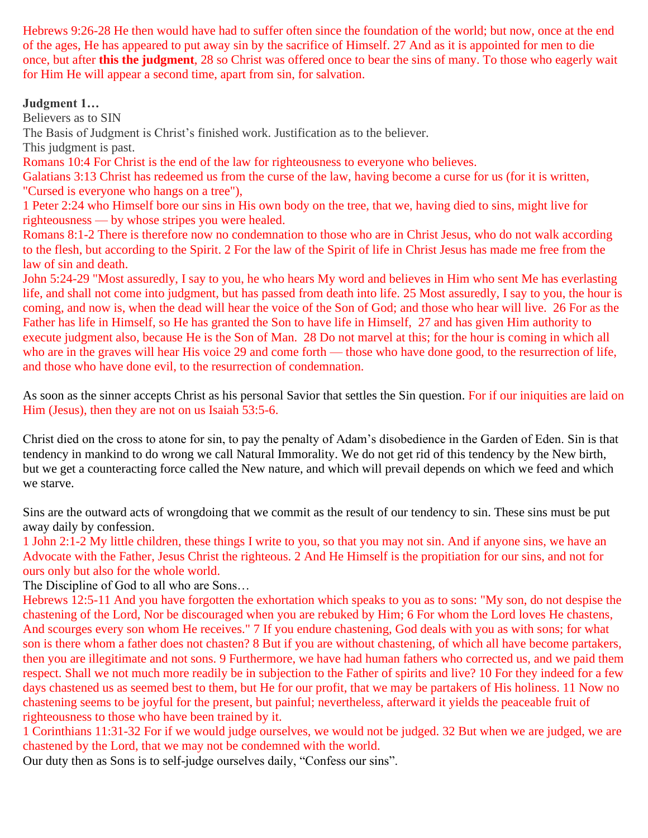Hebrews 9:26-28 He then would have had to suffer often since the foundation of the world; but now, once at the end of the ages, He has appeared to put away sin by the sacrifice of Himself. 27 And as it is appointed for men to die once, but after **this the judgment**, 28 so Christ was offered once to bear the sins of many. To those who eagerly wait for Him He will appear a second time, apart from sin, for salvation.

### **Judgment 1…**

Believers as to SIN

The Basis of Judgment is Christ's finished work. Justification as to the believer.

This judgment is past.

Romans 10:4 For Christ is the end of the law for righteousness to everyone who believes.

Galatians 3:13 Christ has redeemed us from the curse of the law, having become a curse for us (for it is written, "Cursed is everyone who hangs on a tree"),

1 Peter 2:24 who Himself bore our sins in His own body on the tree, that we, having died to sins, might live for righteousness — by whose stripes you were healed.

Romans 8:1-2 There is therefore now no condemnation to those who are in Christ Jesus, who do not walk according to the flesh, but according to the Spirit. 2 For the law of the Spirit of life in Christ Jesus has made me free from the law of sin and death.

John 5:24-29 "Most assuredly, I say to you, he who hears My word and believes in Him who sent Me has everlasting life, and shall not come into judgment, but has passed from death into life. 25 Most assuredly, I say to you, the hour is coming, and now is, when the dead will hear the voice of the Son of God; and those who hear will live. 26 For as the Father has life in Himself, so He has granted the Son to have life in Himself, 27 and has given Him authority to execute judgment also, because He is the Son of Man. 28 Do not marvel at this; for the hour is coming in which all who are in the graves will hear His voice 29 and come forth — those who have done good, to the resurrection of life, and those who have done evil, to the resurrection of condemnation.

As soon as the sinner accepts Christ as his personal Savior that settles the Sin question. For if our iniquities are laid on Him (Jesus), then they are not on us Isaiah 53:5-6.

Christ died on the cross to atone for sin, to pay the penalty of Adam's disobedience in the Garden of Eden. Sin is that tendency in mankind to do wrong we call Natural Immorality. We do not get rid of this tendency by the New birth, but we get a counteracting force called the New nature, and which will prevail depends on which we feed and which we starve.

Sins are the outward acts of wrongdoing that we commit as the result of our tendency to sin. These sins must be put away daily by confession.

1 John 2:1-2 My little children, these things I write to you, so that you may not sin. And if anyone sins, we have an Advocate with the Father, Jesus Christ the righteous. 2 And He Himself is the propitiation for our sins, and not for ours only but also for the whole world.

The Discipline of God to all who are Sons…

Hebrews 12:5-11 And you have forgotten the exhortation which speaks to you as to sons: "My son, do not despise the chastening of the Lord, Nor be discouraged when you are rebuked by Him; 6 For whom the Lord loves He chastens, And scourges every son whom He receives." 7 If you endure chastening, God deals with you as with sons; for what son is there whom a father does not chasten? 8 But if you are without chastening, of which all have become partakers, then you are illegitimate and not sons. 9 Furthermore, we have had human fathers who corrected us, and we paid them respect. Shall we not much more readily be in subjection to the Father of spirits and live? 10 For they indeed for a few days chastened us as seemed best to them, but He for our profit, that we may be partakers of His holiness. 11 Now no chastening seems to be joyful for the present, but painful; nevertheless, afterward it yields the peaceable fruit of righteousness to those who have been trained by it.

1 Corinthians 11:31-32 For if we would judge ourselves, we would not be judged. 32 But when we are judged, we are chastened by the Lord, that we may not be condemned with the world.

Our duty then as Sons is to self-judge ourselves daily, "Confess our sins".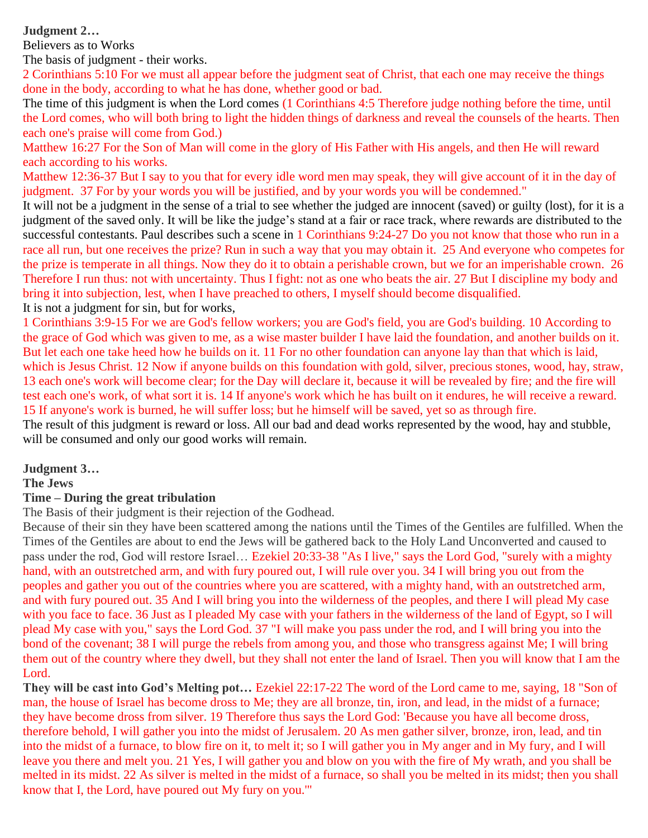**Judgment 2…**

Believers as to Works

The basis of judgment - their works.

2 Corinthians 5:10 For we must all appear before the judgment seat of Christ, that each one may receive the things done in the body, according to what he has done, whether good or bad.

The time of this judgment is when the Lord comes (1 Corinthians 4:5 Therefore judge nothing before the time, until the Lord comes, who will both bring to light the hidden things of darkness and reveal the counsels of the hearts. Then each one's praise will come from God.)

Matthew 16:27 For the Son of Man will come in the glory of His Father with His angels, and then He will reward each according to his works.

Matthew 12:36-37 But I say to you that for every idle word men may speak, they will give account of it in the day of judgment. 37 For by your words you will be justified, and by your words you will be condemned."

It will not be a judgment in the sense of a trial to see whether the judged are innocent (saved) or guilty (lost), for it is a judgment of the saved only. It will be like the judge's stand at a fair or race track, where rewards are distributed to the successful contestants. Paul describes such a scene in 1 Corinthians 9:24-27 Do you not know that those who run in a race all run, but one receives the prize? Run in such a way that you may obtain it. 25 And everyone who competes for the prize is temperate in all things. Now they do it to obtain a perishable crown, but we for an imperishable crown. 26 Therefore I run thus: not with uncertainty. Thus I fight: not as one who beats the air. 27 But I discipline my body and bring it into subjection, lest, when I have preached to others, I myself should become disqualified. It is not a judgment for sin, but for works,

1 Corinthians 3:9-15 For we are God's fellow workers; you are God's field, you are God's building. 10 According to the grace of God which was given to me, as a wise master builder I have laid the foundation, and another builds on it. But let each one take heed how he builds on it. 11 For no other foundation can anyone lay than that which is laid, which is Jesus Christ. 12 Now if anyone builds on this foundation with gold, silver, precious stones, wood, hay, straw, 13 each one's work will become clear; for the Day will declare it, because it will be revealed by fire; and the fire will test each one's work, of what sort it is. 14 If anyone's work which he has built on it endures, he will receive a reward. 15 If anyone's work is burned, he will suffer loss; but he himself will be saved, yet so as through fire.

The result of this judgment is reward or loss. All our bad and dead works represented by the wood, hay and stubble, will be consumed and only our good works will remain.

### **Judgment 3…**

#### **The Jews**

#### **Time – During the great tribulation**

The Basis of their judgment is their rejection of the Godhead.

Because of their sin they have been scattered among the nations until the Times of the Gentiles are fulfilled. When the Times of the Gentiles are about to end the Jews will be gathered back to the Holy Land Unconverted and caused to pass under the rod, God will restore Israel… Ezekiel 20:33-38 "As I live," says the Lord God, "surely with a mighty hand, with an outstretched arm, and with fury poured out, I will rule over you. 34 I will bring you out from the peoples and gather you out of the countries where you are scattered, with a mighty hand, with an outstretched arm, and with fury poured out. 35 And I will bring you into the wilderness of the peoples, and there I will plead My case with you face to face. 36 Just as I pleaded My case with your fathers in the wilderness of the land of Egypt, so I will plead My case with you," says the Lord God. 37 "I will make you pass under the rod, and I will bring you into the bond of the covenant; 38 I will purge the rebels from among you, and those who transgress against Me; I will bring them out of the country where they dwell, but they shall not enter the land of Israel. Then you will know that I am the Lord.

**They will be cast into God's Melting pot…** Ezekiel 22:17-22 The word of the Lord came to me, saying, 18 "Son of man, the house of Israel has become dross to Me; they are all bronze, tin, iron, and lead, in the midst of a furnace; they have become dross from silver. 19 Therefore thus says the Lord God: 'Because you have all become dross, therefore behold, I will gather you into the midst of Jerusalem. 20 As men gather silver, bronze, iron, lead, and tin into the midst of a furnace, to blow fire on it, to melt it; so I will gather you in My anger and in My fury, and I will leave you there and melt you. 21 Yes, I will gather you and blow on you with the fire of My wrath, and you shall be melted in its midst. 22 As silver is melted in the midst of a furnace, so shall you be melted in its midst; then you shall know that I, the Lord, have poured out My fury on you.'"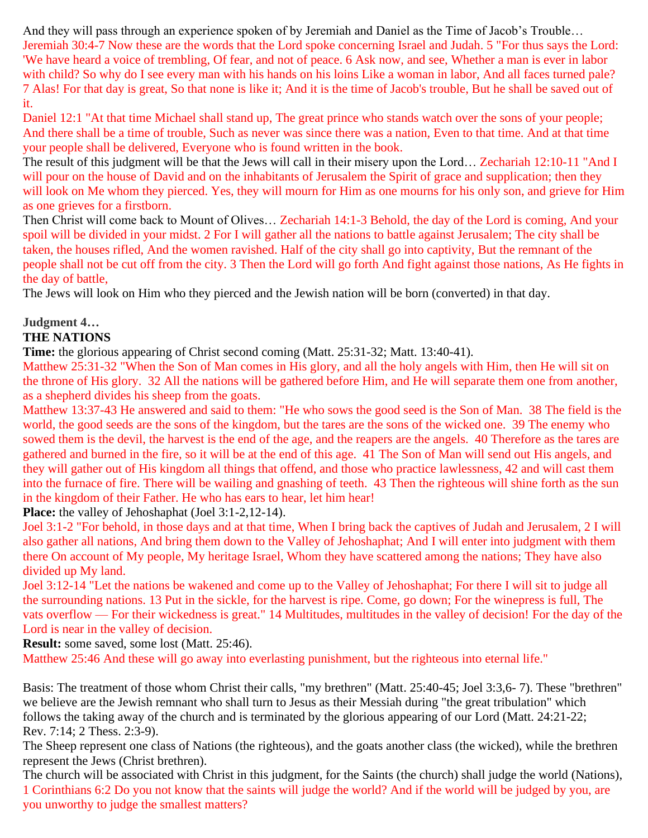And they will pass through an experience spoken of by Jeremiah and Daniel as the Time of Jacob's Trouble… Jeremiah 30:4-7 Now these are the words that the Lord spoke concerning Israel and Judah. 5 "For thus says the Lord: 'We have heard a voice of trembling, Of fear, and not of peace. 6 Ask now, and see, Whether a man is ever in labor with child? So why do I see every man with his hands on his loins Like a woman in labor, And all faces turned pale? 7 Alas! For that day is great, So that none is like it; And it is the time of Jacob's trouble, But he shall be saved out of it.

Daniel 12:1 "At that time Michael shall stand up, The great prince who stands watch over the sons of your people; And there shall be a time of trouble, Such as never was since there was a nation, Even to that time. And at that time your people shall be delivered, Everyone who is found written in the book.

The result of this judgment will be that the Jews will call in their misery upon the Lord… Zechariah 12:10-11 "And I will pour on the house of David and on the inhabitants of Jerusalem the Spirit of grace and supplication; then they will look on Me whom they pierced. Yes, they will mourn for Him as one mourns for his only son, and grieve for Him as one grieves for a firstborn.

Then Christ will come back to Mount of Olives… Zechariah 14:1-3 Behold, the day of the Lord is coming, And your spoil will be divided in your midst. 2 For I will gather all the nations to battle against Jerusalem; The city shall be taken, the houses rifled, And the women ravished. Half of the city shall go into captivity, But the remnant of the people shall not be cut off from the city. 3 Then the Lord will go forth And fight against those nations, As He fights in the day of battle,

The Jews will look on Him who they pierced and the Jewish nation will be born (converted) in that day.

# **Judgment 4…**

# **THE NATIONS**

**Time:** the glorious appearing of Christ second coming (Matt. 25:31-32; Matt. 13:40-41).

Matthew 25:31-32 "When the Son of Man comes in His glory, and all the holy angels with Him, then He will sit on the throne of His glory. 32 All the nations will be gathered before Him, and He will separate them one from another, as a shepherd divides his sheep from the goats.

Matthew 13:37-43 He answered and said to them: "He who sows the good seed is the Son of Man. 38 The field is the world, the good seeds are the sons of the kingdom, but the tares are the sons of the wicked one. 39 The enemy who sowed them is the devil, the harvest is the end of the age, and the reapers are the angels. 40 Therefore as the tares are gathered and burned in the fire, so it will be at the end of this age. 41 The Son of Man will send out His angels, and they will gather out of His kingdom all things that offend, and those who practice lawlessness, 42 and will cast them into the furnace of fire. There will be wailing and gnashing of teeth. 43 Then the righteous will shine forth as the sun in the kingdom of their Father. He who has ears to hear, let him hear!

**Place:** the valley of Jehoshaphat (Joel 3:1-2,12-14).

Joel 3:1-2 "For behold, in those days and at that time, When I bring back the captives of Judah and Jerusalem, 2 I will also gather all nations, And bring them down to the Valley of Jehoshaphat; And I will enter into judgment with them there On account of My people, My heritage Israel, Whom they have scattered among the nations; They have also divided up My land.

Joel 3:12-14 "Let the nations be wakened and come up to the Valley of Jehoshaphat; For there I will sit to judge all the surrounding nations. 13 Put in the sickle, for the harvest is ripe. Come, go down; For the winepress is full, The vats overflow — For their wickedness is great." 14 Multitudes, multitudes in the valley of decision! For the day of the Lord is near in the valley of decision.

**Result:** some saved, some lost (Matt. 25:46).

Matthew 25:46 And these will go away into everlasting punishment, but the righteous into eternal life."

Basis: The treatment of those whom Christ their calls, "my brethren" (Matt. 25:40-45; Joel 3:3,6- 7). These "brethren" we believe are the Jewish remnant who shall turn to Jesus as their Messiah during "the great tribulation" which follows the taking away of the church and is terminated by the glorious appearing of our Lord (Matt. 24:21-22; Rev. 7:14; 2 Thess. 2:3-9).

The Sheep represent one class of Nations (the righteous), and the goats another class (the wicked), while the brethren represent the Jews (Christ brethren).

The church will be associated with Christ in this judgment, for the Saints (the church) shall judge the world (Nations), 1 Corinthians 6:2 Do you not know that the saints will judge the world? And if the world will be judged by you, are you unworthy to judge the smallest matters?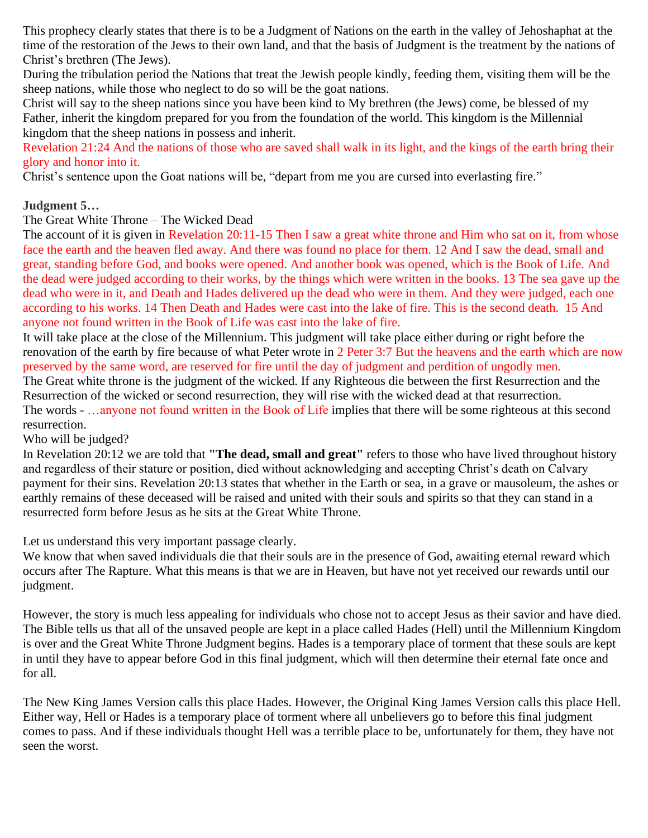This prophecy clearly states that there is to be a Judgment of Nations on the earth in the valley of Jehoshaphat at the time of the restoration of the Jews to their own land, and that the basis of Judgment is the treatment by the nations of Christ's brethren (The Jews).

During the tribulation period the Nations that treat the Jewish people kindly, feeding them, visiting them will be the sheep nations, while those who neglect to do so will be the goat nations.

Christ will say to the sheep nations since you have been kind to My brethren (the Jews) come, be blessed of my Father, inherit the kingdom prepared for you from the foundation of the world. This kingdom is the Millennial kingdom that the sheep nations in possess and inherit.

Revelation 21:24 And the nations of those who are saved shall walk in its light, and the kings of the earth bring their glory and honor into it.

Christ's sentence upon the Goat nations will be, "depart from me you are cursed into everlasting fire."

# **Judgment 5…**

The Great White Throne – The Wicked Dead

The account of it is given in Revelation 20:11-15 Then I saw a great white throne and Him who sat on it, from whose face the earth and the heaven fled away. And there was found no place for them. 12 And I saw the dead, small and great, standing before God, and books were opened. And another book was opened, which is the Book of Life. And the dead were judged according to their works, by the things which were written in the books. 13 The sea gave up the dead who were in it, and Death and Hades delivered up the dead who were in them. And they were judged, each one according to his works. 14 Then Death and Hades were cast into the lake of fire. This is the second death. 15 And anyone not found written in the Book of Life was cast into the lake of fire.

It will take place at the close of the Millennium. This judgment will take place either during or right before the renovation of the earth by fire because of what Peter wrote in 2 Peter 3:7 But the heavens and the earth which are now preserved by the same word, are reserved for fire until the day of judgment and perdition of ungodly men.

The Great white throne is the judgment of the wicked. If any Righteous die between the first Resurrection and the Resurrection of the wicked or second resurrection, they will rise with the wicked dead at that resurrection. The words - …anyone not found written in the Book of Life implies that there will be some righteous at this second resurrection.

Who will be judged?

In [Revelation 20:12](http://www.biblegateway.com/passage/?search=revelation%2020:12;&version=31;) we are told that **"The dead, small and great"** refers to those who have lived throughout history and regardless of their stature or position, died without acknowledging and accepting Christ's death on Calvary payment for their sins. [Revelation 20:13](http://www.biblegateway.com/passage/?search=Revelation%2020:13;&version=31;) states that whether in the Earth or sea, in a grave or mausoleum, the ashes or earthly remains of these deceased will be raised and united with their souls and spirits so that they can stand in a resurrected form before Jesus as he sits at the Great White Throne.

Let us understand this very important passage clearly.

We know that when saved individuals die that their souls are in the presence of God, awaiting eternal reward which occurs after The Rapture. What this means is that we are in Heaven, but have not yet received our rewards until our judgment.

However, the story is much less appealing for individuals who chose not to accept Jesus as their savior and have died. The Bible tells us that all of the unsaved people are kept in a place called Hades (Hell) until the Millennium Kingdom is over and the Great White Throne Judgment begins. Hades is a temporary place of torment that these souls are kept in until they have to appear before God in this final judgment, which will then determine their eternal fate once and for all.

The New King James Version calls this place Hades. However, the Original King James Version calls this place Hell. Either way, Hell or Hades is a temporary place of torment where all unbelievers go to before this final judgment comes to pass. And if these individuals thought Hell was a terrible place to be, unfortunately for them, they have not seen the worst.